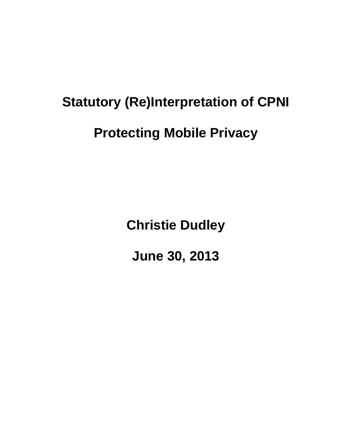# **Statutory (Re)Interpretation of CPNI Protecting Mobile Privacy**

**Christie Dudley**

**June 30, 2013**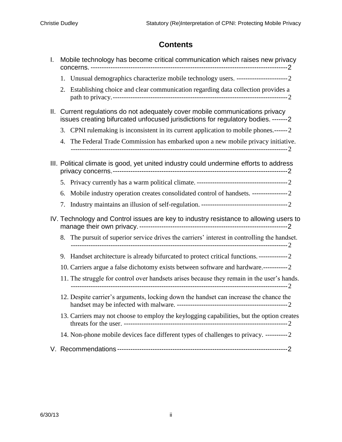# **Contents**

| T. | Mobile technology has become critical communication which raises new privacy                                                                                        |                                                                                               |  |
|----|---------------------------------------------------------------------------------------------------------------------------------------------------------------------|-----------------------------------------------------------------------------------------------|--|
|    | 1.                                                                                                                                                                  |                                                                                               |  |
|    | 2.                                                                                                                                                                  | Establishing choice and clear communication regarding data collection provides a              |  |
|    | II. Current regulations do not adequately cover mobile communications privacy<br>issues creating bifurcated unfocused jurisdictions for regulatory bodies. -------2 |                                                                                               |  |
|    | 3.                                                                                                                                                                  | CPNI rulemaking is inconsistent in its current application to mobile phones.------2           |  |
|    | 4.                                                                                                                                                                  | The Federal Trade Commission has embarked upon a new mobile privacy initiative.               |  |
|    | III. Political climate is good, yet united industry could undermine efforts to address                                                                              |                                                                                               |  |
|    | 5.                                                                                                                                                                  |                                                                                               |  |
|    | 6.                                                                                                                                                                  |                                                                                               |  |
|    | 7.                                                                                                                                                                  |                                                                                               |  |
|    | IV. Technology and Control issues are key to industry resistance to allowing users to                                                                               |                                                                                               |  |
|    | 8.                                                                                                                                                                  | The pursuit of superior service drives the carriers' interest in controlling the handset.     |  |
|    |                                                                                                                                                                     | 9. Handset architecture is already bifurcated to protect critical functions. ---------------2 |  |
|    |                                                                                                                                                                     | 10. Carriers argue a false dichotomy exists between software and hardware.------------2       |  |
|    |                                                                                                                                                                     | 11. The struggle for control over handsets arises because they remain in the user's hands.    |  |
|    |                                                                                                                                                                     | 12. Despite carrier's arguments, locking down the handset can increase the chance the         |  |
|    |                                                                                                                                                                     | 13. Carriers may not choose to employ the keylogging capabilities, but the option creates     |  |
|    |                                                                                                                                                                     | 14. Non-phone mobile devices face different types of challenges to privacy. ----------2       |  |
|    |                                                                                                                                                                     |                                                                                               |  |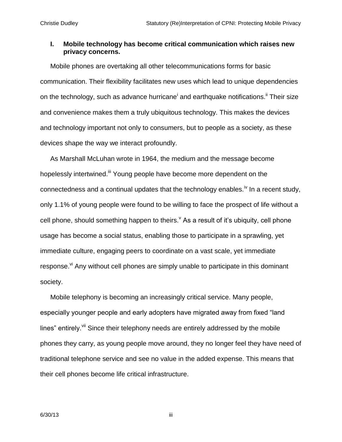# **I. Mobile technology has become critical communication which raises new privacy concerns.**

Mobile phones are overtaking all other telecommunications forms for basic communication. Their flexibility facilitates new uses which lead to unique dependencies on the technology, such as advance hurricane<sup>i</sup> and earthquake notifications.<sup>ii</sup> Their size and convenience makes them a truly ubiquitous technology. This makes the devices and technology important not only to consumers, but to people as a society, as these devices shape the way we interact profoundly.

As Marshall McLuhan wrote in 1964, the medium and the message become hopelessly intertwined.<sup>iii</sup> Young people have become more dependent on the connectedness and a continual updates that the technology enables.<sup> $N$ </sup> In a recent study, only 1.1% of young people were found to be willing to face the prospect of life without a cell phone, should something happen to theirs.  $\theta$  As a result of it's ubiquity, cell phone usage has become a social status, enabling those to participate in a sprawling, yet immediate culture, engaging peers to coordinate on a vast scale, yet immediate response. <sup>vi</sup> Any without cell phones are simply unable to participate in this dominant society.

Mobile telephony is becoming an increasingly critical service. Many people, especially younger people and early adopters have migrated away from fixed "land lines" entirely.  $\frac{v}{v}$  Since their telephony needs are entirely addressed by the mobile phones they carry, as young people move around, they no longer feel they have need of traditional telephone service and see no value in the added expense. This means that their cell phones become life critical infrastructure.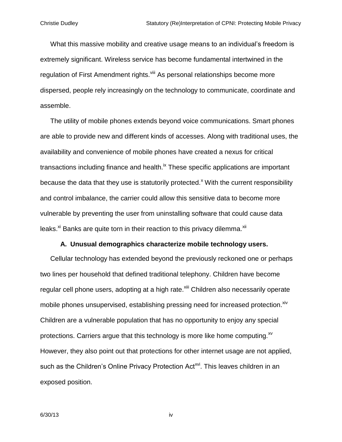What this massive mobility and creative usage means to an individual's freedom is extremely significant. Wireless service has become fundamental intertwined in the regulation of First Amendment rights.<sup>viii</sup> As personal relationships become more dispersed, people rely increasingly on the technology to communicate, coordinate and assemble.

The utility of mobile phones extends beyond voice communications. Smart phones are able to provide new and different kinds of accesses. Along with traditional uses, the availability and convenience of mobile phones have created a nexus for critical transactions including finance and health. $\frac{1}{x}$  These specific applications are important because the data that they use is statutorily protected.<sup>x</sup> With the current responsibility and control imbalance, the carrier could allow this sensitive data to become more vulnerable by preventing the user from uninstalling software that could cause data leaks. $x_i$  Banks are quite torn in their reaction to this privacy dilemma.  $x_{ii}$ 

#### **A. Unusual demographics characterize mobile technology users.**

Cellular technology has extended beyond the previously reckoned one or perhaps two lines per household that defined traditional telephony. Children have become regular cell phone users, adopting at a high rate.<sup>xiii</sup> Children also necessarily operate mobile phones unsupervised, establishing pressing need for increased protection.<sup>XIV</sup> Children are a vulnerable population that has no opportunity to enjoy any special protections. Carriers argue that this technology is more like home computing.<sup>xv</sup> However, they also point out that protections for other internet usage are not applied, such as the Children's Online Privacy Protection Act<sup>xvi</sup>. This leaves children in an exposed position.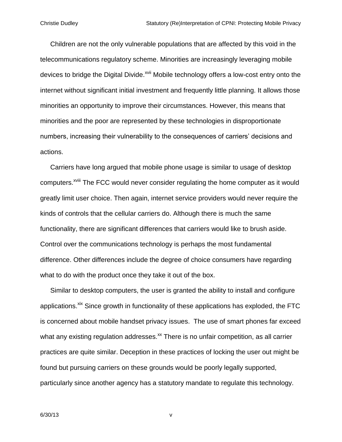Children are not the only vulnerable populations that are affected by this void in the telecommunications regulatory scheme. Minorities are increasingly leveraging mobile devices to bridge the Digital Divide.<sup>Xvii</sup> Mobile technology offers a low-cost entry onto the internet without significant initial investment and frequently little planning. It allows those minorities an opportunity to improve their circumstances. However, this means that minorities and the poor are represented by these technologies in disproportionate numbers, increasing their vulnerability to the consequences of carriers' decisions and actions.

Carriers have long argued that mobile phone usage is similar to usage of desktop computers.<sup>XVIII</sup> The FCC would never consider regulating the home computer as it would greatly limit user choice. Then again, internet service providers would never require the kinds of controls that the cellular carriers do. Although there is much the same functionality, there are significant differences that carriers would like to brush aside. Control over the communications technology is perhaps the most fundamental difference. Other differences include the degree of choice consumers have regarding what to do with the product once they take it out of the box.

Similar to desktop computers, the user is granted the ability to install and configure applications. $x^{ix}$  Since growth in functionality of these applications has exploded, the FTC is concerned about mobile handset privacy issues. The use of smart phones far exceed what any existing regulation addresses.<sup> $x$ </sup> There is no unfair competition, as all carrier practices are quite similar. Deception in these practices of locking the user out might be found but pursuing carriers on these grounds would be poorly legally supported, particularly since another agency has a statutory mandate to regulate this technology.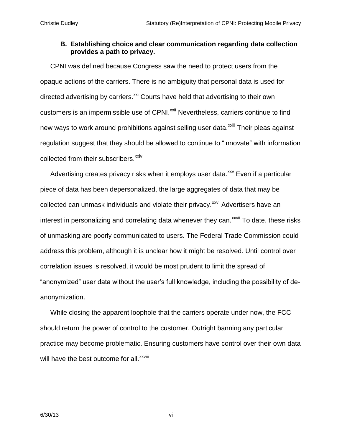# **B. Establishing choice and clear communication regarding data collection provides a path to privacy.**

CPNI was defined because Congress saw the need to protect users from the opaque actions of the carriers. There is no ambiguity that personal data is used for directed advertising by carriers.<sup>xxi</sup> Courts have held that advertising to their own customers is an impermissible use of CPNI.<sup>xxii</sup> Nevertheless, carriers continue to find new ways to work around prohibitions against selling user data.<sup>XXIII</sup> Their pleas against regulation suggest that they should be allowed to continue to "innovate" with information collected from their subscribers.<sup>xxiv</sup>

Advertising creates privacy risks when it employs user data.<sup>xxv</sup> Even if a particular piece of data has been depersonalized, the large aggregates of data that may be collected can unmask individuals and violate their privacy.<sup>XXVI</sup> Advertisers have an interest in personalizing and correlating data whenever they can.<sup>XXVII</sup> To date, these risks of unmasking are poorly communicated to users. The Federal Trade Commission could address this problem, although it is unclear how it might be resolved. Until control over correlation issues is resolved, it would be most prudent to limit the spread of "anonymized" user data without the user's full knowledge, including the possibility of deanonymization.

While closing the apparent loophole that the carriers operate under now, the FCC should return the power of control to the customer. Outright banning any particular practice may become problematic. Ensuring customers have control over their own data will have the best outcome for all.<sup>xxviii</sup>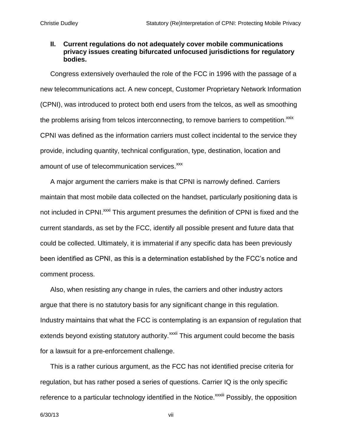# **II. Current regulations do not adequately cover mobile communications privacy issues creating bifurcated unfocused jurisdictions for regulatory bodies.**

Congress extensively overhauled the role of the FCC in 1996 with the passage of a new telecommunications act. A new concept, Customer Proprietary Network Information (CPNI), was introduced to protect both end users from the telcos, as well as smoothing the problems arising from telcos interconnecting, to remove barriers to competition.  $\frac{xx}{x}$ CPNI was defined as the information carriers must collect incidental to the service they provide, including quantity, technical configuration, type, destination, location and amount of use of telecommunication services.<sup>xxx</sup>

A major argument the carriers make is that CPNI is narrowly defined. Carriers maintain that most mobile data collected on the handset, particularly positioning data is not included in CPNI.<sup>xxxi</sup> This argument presumes the definition of CPNI is fixed and the current standards, as set by the FCC, identify all possible present and future data that could be collected. Ultimately, it is immaterial if any specific data has been previously been identified as CPNI, as this is a determination established by the FCC's notice and comment process.

Also, when resisting any change in rules, the carriers and other industry actors argue that there is no statutory basis for any significant change in this regulation. Industry maintains that what the FCC is contemplating is an expansion of regulation that extends beyond existing statutory authority.<sup>xxxii</sup> This argument could become the basis for a lawsuit for a pre-enforcement challenge.

This is a rather curious argument, as the FCC has not identified precise criteria for regulation, but has rather posed a series of questions. Carrier IQ is the only specific reference to a particular technology identified in the Notice.<sup>xxxiii</sup> Possibly, the opposition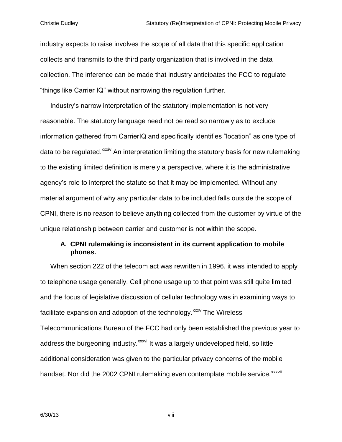industry expects to raise involves the scope of all data that this specific application collects and transmits to the third party organization that is involved in the data collection. The inference can be made that industry anticipates the FCC to regulate "things like Carrier IQ" without narrowing the regulation further.

Industry's narrow interpretation of the statutory implementation is not very reasonable. The statutory language need not be read so narrowly as to exclude information gathered from CarrierIQ and specifically identifies "location" as one type of data to be regulated.<sup> $xxxi\vee$ </sup> An interpretation limiting the statutory basis for new rulemaking to the existing limited definition is merely a perspective, where it is the administrative agency's role to interpret the statute so that it may be implemented. Without any material argument of why any particular data to be included falls outside the scope of CPNI, there is no reason to believe anything collected from the customer by virtue of the unique relationship between carrier and customer is not within the scope.

# **A. CPNI rulemaking is inconsistent in its current application to mobile phones.**

When section 222 of the telecom act was rewritten in 1996, it was intended to apply to telephone usage generally. Cell phone usage up to that point was still quite limited and the focus of legislative discussion of cellular technology was in examining ways to facilitate expansion and adoption of the technology.<sup>xxxv</sup> The Wireless Telecommunications Bureau of the FCC had only been established the previous year to address the burgeoning industry.<sup>xxxvi</sup> It was a largely undeveloped field, so little additional consideration was given to the particular privacy concerns of the mobile handset. Nor did the 2002 CPNI rulemaking even contemplate mobile service.<sup>xxxvii</sup>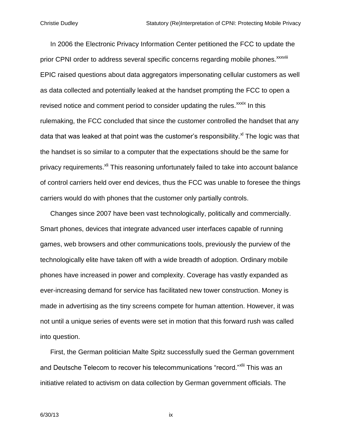In 2006 the Electronic Privacy Information Center petitioned the FCC to update the prior CPNI order to address several specific concerns regarding mobile phones. XXXViii EPIC raised questions about data aggregators impersonating cellular customers as well as data collected and potentially leaked at the handset prompting the FCC to open a revised notice and comment period to consider updating the rules.<sup>xxxix</sup> In this rulemaking, the FCC concluded that since the customer controlled the handset that any data that was leaked at that point was the customer's responsibility. $x^1$  The logic was that the handset is so similar to a computer that the expectations should be the same for privacy requirements.<sup>xli</sup> This reasoning unfortunately failed to take into account balance of control carriers held over end devices, thus the FCC was unable to foresee the things carriers would do with phones that the customer only partially controls.

Changes since 2007 have been vast technologically, politically and commercially. Smart phones, devices that integrate advanced user interfaces capable of running games, web browsers and other communications tools, previously the purview of the technologically elite have taken off with a wide breadth of adoption. Ordinary mobile phones have increased in power and complexity. Coverage has vastly expanded as ever-increasing demand for service has facilitated new tower construction. Money is made in advertising as the tiny screens compete for human attention. However, it was not until a unique series of events were set in motion that this forward rush was called into question.

First, the German politician Malte Spitz successfully sued the German government and Deutsche Telecom to recover his telecommunications "record."<sup>xlii</sup> This was an initiative related to activism on data collection by German government officials. The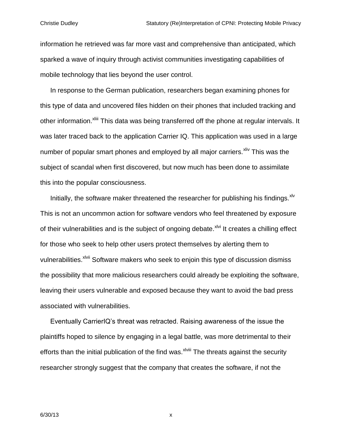information he retrieved was far more vast and comprehensive than anticipated, which sparked a wave of inquiry through activist communities investigating capabilities of mobile technology that lies beyond the user control.

In response to the German publication, researchers began examining phones for this type of data and uncovered files hidden on their phones that included tracking and other information.<sup>xliii</sup> This data was being transferred off the phone at regular intervals. It was later traced back to the application Carrier IQ. This application was used in a large number of popular smart phones and employed by all major carriers.<sup>Xiiv</sup> This was the subject of scandal when first discovered, but now much has been done to assimilate this into the popular consciousness.

Initially, the software maker threatened the researcher for publishing his findings.  $X^{\text{IV}}$ This is not an uncommon action for software vendors who feel threatened by exposure of their vulnerabilities and is the subject of ongoing debate. XIVI It creates a chilling effect for those who seek to help other users protect themselves by alerting them to vulnerabilities.<sup>xlvii</sup> Software makers who seek to enjoin this type of discussion dismiss the possibility that more malicious researchers could already be exploiting the software, leaving their users vulnerable and exposed because they want to avoid the bad press associated with vulnerabilities.

Eventually CarrierIQ's threat was retracted. Raising awareness of the issue the plaintiffs hoped to silence by engaging in a legal battle, was more detrimental to their efforts than the initial publication of the find was.<sup>Xlviii</sup> The threats against the security researcher strongly suggest that the company that creates the software, if not the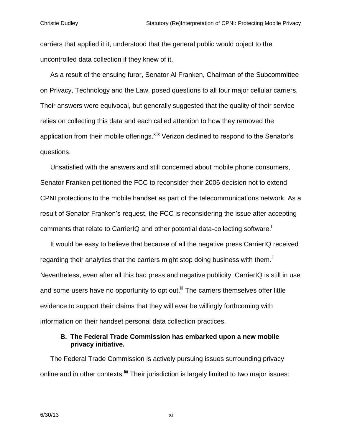carriers that applied it it, understood that the general public would object to the uncontrolled data collection if they knew of it.

As a result of the ensuing furor, Senator Al Franken, Chairman of the Subcommittee on Privacy, Technology and the Law, posed questions to all four major cellular carriers. Their answers were equivocal, but generally suggested that the quality of their service relies on collecting this data and each called attention to how they removed the application from their mobile offerings.<sup>xlix</sup> Verizon declined to respond to the Senator's questions.

Unsatisfied with the answers and still concerned about mobile phone consumers, Senator Franken petitioned the FCC to reconsider their 2006 decision not to extend CPNI protections to the mobile handset as part of the telecommunications network. As a result of Senator Franken's request, the FCC is reconsidering the issue after accepting comments that relate to CarrierIQ and other potential data-collecting software.<sup>1</sup>

It would be easy to believe that because of all the negative press CarrierIQ received regarding their analytics that the carriers might stop doing business with them.<sup>11</sup> Nevertheless, even after all this bad press and negative publicity, CarrierIQ is still in use and some users have no opportunity to opt out.<sup>Iii</sup> The carriers themselves offer little evidence to support their claims that they will ever be willingly forthcoming with information on their handset personal data collection practices.

# **B. The Federal Trade Commission has embarked upon a new mobile privacy initiative.**

The Federal Trade Commission is actively pursuing issues surrounding privacy online and in other contexts.<sup>Iii</sup> Their jurisdiction is largely limited to two major issues: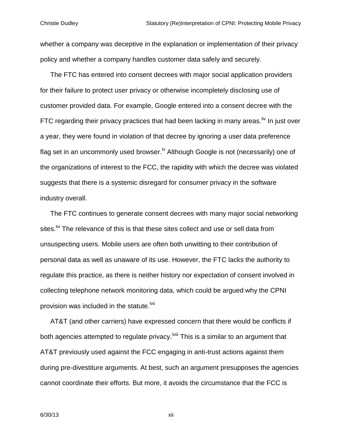whether a company was deceptive in the explanation or implementation of their privacy policy and whether a company handles customer data safely and securely.

The FTC has entered into consent decrees with major social application providers for their failure to protect user privacy or otherwise incompletely disclosing use of customer provided data. For example, Google entered into a consent decree with the FTC regarding their privacy practices that had been lacking in many areas. <sup>Iiv</sup> In just over a year, they were found in violation of that decree by ignoring a user data preference flag set in an uncommonly used browser.<sup> $\frac{1}{x}$ </sup> Although Google is not (necessarily) one of the organizations of interest to the FCC, the rapidity with which the decree was violated suggests that there is a systemic disregard for consumer privacy in the software industry overall.

The FTC continues to generate consent decrees with many major social networking sites.<sup>Ivi</sup> The relevance of this is that these sites collect and use or sell data from unsuspecting users. Mobile users are often both unwitting to their contribution of personal data as well as unaware of its use. However, the FTC lacks the authority to regulate this practice, as there is neither history nor expectation of consent involved in collecting telephone network monitoring data, which could be argued why the CPNI provision was included in the statute.<sup>[Vi]</sup>

AT&T (and other carriers) have expressed concern that there would be conflicts if both agencies attempted to regulate privacy.<sup>Iviii</sup> This is a similar to an argument that AT&T previously used against the FCC engaging in anti-trust actions against them during pre-divestiture arguments. At best, such an argument presupposes the agencies cannot coordinate their efforts. But more, it avoids the circumstance that the FCC is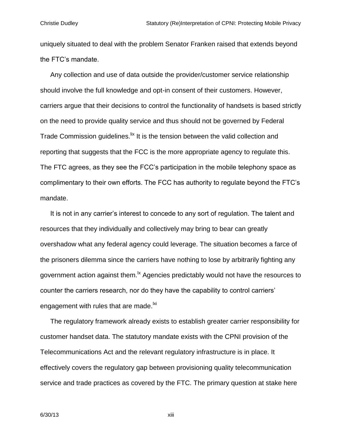uniquely situated to deal with the problem Senator Franken raised that extends beyond the FTC's mandate.

Any collection and use of data outside the provider/customer service relationship should involve the full knowledge and opt-in consent of their customers. However, carriers argue that their decisions to control the functionality of handsets is based strictly on the need to provide quality service and thus should not be governed by Federal Trade Commission guidelines.<sup>lix</sup> It is the tension between the valid collection and reporting that suggests that the FCC is the more appropriate agency to regulate this. The FTC agrees, as they see the FCC's participation in the mobile telephony space as complimentary to their own efforts. The FCC has authority to regulate beyond the FTC's mandate.

It is not in any carrier's interest to concede to any sort of regulation. The talent and resources that they individually and collectively may bring to bear can greatly overshadow what any federal agency could leverage. The situation becomes a farce of the prisoners dilemma since the carriers have nothing to lose by arbitrarily fighting any government action against them.<sup>1x</sup> Agencies predictably would not have the resources to counter the carriers research, nor do they have the capability to control carriers' engagement with rules that are made.<sup> $ix$ </sup>

The regulatory framework already exists to establish greater carrier responsibility for customer handset data. The statutory mandate exists with the CPNI provision of the Telecommunications Act and the relevant regulatory infrastructure is in place. It effectively covers the regulatory gap between provisioning quality telecommunication service and trade practices as covered by the FTC. The primary question at stake here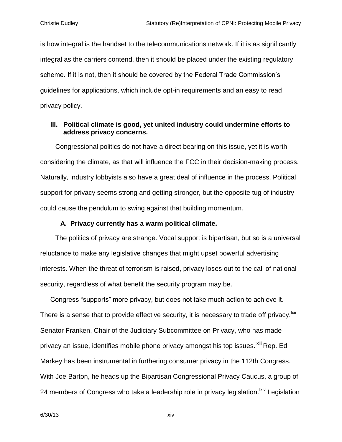is how integral is the handset to the telecommunications network. If it is as significantly integral as the carriers contend, then it should be placed under the existing regulatory scheme. If it is not, then it should be covered by the Federal Trade Commission's guidelines for applications, which include opt-in requirements and an easy to read privacy policy.

# **III. Political climate is good, yet united industry could undermine efforts to address privacy concerns.**

Congressional politics do not have a direct bearing on this issue, yet it is worth considering the climate, as that will influence the FCC in their decision-making process. Naturally, industry lobbyists also have a great deal of influence in the process. Political support for privacy seems strong and getting stronger, but the opposite tug of industry could cause the pendulum to swing against that building momentum.

# **A. Privacy currently has a warm political climate.**

The politics of privacy are strange. Vocal support is bipartisan, but so is a universal reluctance to make any legislative changes that might upset powerful advertising interests. When the threat of terrorism is raised, privacy loses out to the call of national security, regardless of what benefit the security program may be.

Congress "supports" more privacy, but does not take much action to achieve it. There is a sense that to provide effective security, it is necessary to trade off privacy. <sup>|Xii</sup> Senator Franken, Chair of the Judiciary Subcommittee on Privacy, who has made privacy an issue, identifies mobile phone privacy amongst his top issues. <sup>Ixiii</sup> Rep. Ed Markey has been instrumental in furthering consumer privacy in the 112th Congress. With Joe Barton, he heads up the Bipartisan Congressional Privacy Caucus, a group of 24 members of Congress who take a leadership role in privacy legislation.<sup>Ixiv</sup> Legislation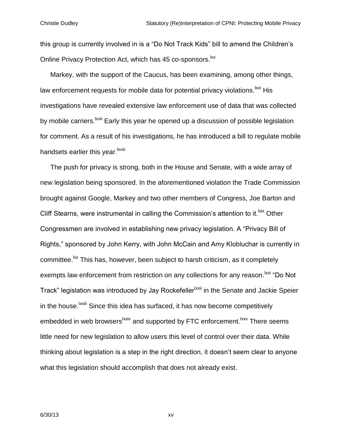this group is currently involved in is a "Do Not Track Kids" bill to amend the Children's Online Privacy Protection Act, which has 45 co-sponsors.<sup>Ixv</sup>

Markey, with the support of the Caucus, has been examining, among other things, law enforcement requests for mobile data for potential privacy violations.<sup>Ixvi</sup> His investigations have revealed extensive law enforcement use of data that was collected by mobile carriers. <sup>Ixvii</sup> Early this year he opened up a discussion of possible legislation for comment. As a result of his investigations, he has introduced a bill to regulate mobile handsets earlier this year.<sup>lxviii</sup>

The push for privacy is strong, both in the House and Senate, with a wide array of new legislation being sponsored. In the aforementioned violation the Trade Commission brought against Google, Markey and two other members of Congress, Joe Barton and Cliff Stearns, were instrumental in calling the Commission's attention to it. Nixt Other Congressmen are involved in establishing new privacy legislation. A "Privacy Bill of Rights," sponsored by John Kerry, with John McCain and Amy Klobluchar is currently in committee.<sup>lxx</sup> This has, however, been subject to harsh criticism, as it completely exempts law enforcement from restriction on any collections for any reason. <sup>IXXI</sup> "Do Not Track" legislation was introduced by Jay Rockefeller<sup>lxxii</sup> in the Senate and Jackie Speier in the house.<sup>Ixxiii</sup> Since this idea has surfaced, it has now become competitively embedded in web browsers<sup>lxxiv</sup> and supported by FTC enforcement.<sup>lxxv</sup> There seems little need for new legislation to allow users this level of control over their data. While thinking about legislation is a step in the right direction, it doesn't seem clear to anyone what this legislation should accomplish that does not already exist.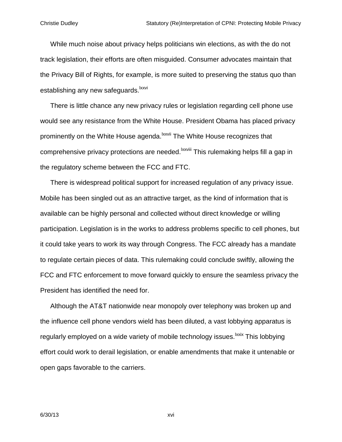While much noise about privacy helps politicians win elections, as with the do not track legislation, their efforts are often misguided. Consumer advocates maintain that the Privacy Bill of Rights, for example, is more suited to preserving the status quo than establishing any new safeguards.<sup>Ixxvi</sup>

There is little chance any new privacy rules or legislation regarding cell phone use would see any resistance from the White House. President Obama has placed privacy prominently on the White House agenda.<sup>Ixxvii</sup> The White House recognizes that comprehensive privacy protections are needed.<sup>Ixxviii</sup> This rulemaking helps fill a gap in the regulatory scheme between the FCC and FTC.

There is widespread political support for increased regulation of any privacy issue. Mobile has been singled out as an attractive target, as the kind of information that is available can be highly personal and collected without direct knowledge or willing participation. Legislation is in the works to address problems specific to cell phones, but it could take years to work its way through Congress. The FCC already has a mandate to regulate certain pieces of data. This rulemaking could conclude swiftly, allowing the FCC and FTC enforcement to move forward quickly to ensure the seamless privacy the President has identified the need for.

Although the AT&T nationwide near monopoly over telephony was broken up and the influence cell phone vendors wield has been diluted, a vast lobbying apparatus is regularly employed on a wide variety of mobile technology issues.<sup>Ixxix</sup> This lobbying effort could work to derail legislation, or enable amendments that make it untenable or open gaps favorable to the carriers.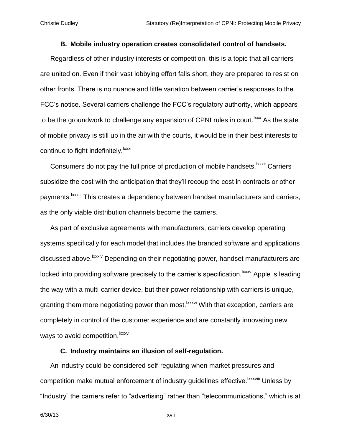#### **B. Mobile industry operation creates consolidated control of handsets.**

Regardless of other industry interests or competition, this is a topic that all carriers are united on. Even if their vast lobbying effort falls short, they are prepared to resist on other fronts. There is no nuance and little variation between carrier's responses to the FCC's notice. Several carriers challenge the FCC's regulatory authority, which appears to be the groundwork to challenge any expansion of CPNI rules in court. XXX As the state of mobile privacy is still up in the air with the courts, it would be in their best interests to continue to fight indefinitely.<sup>lxxxi</sup>

Consumers do not pay the full price of production of mobile handsets.<sup>Ixxxii</sup> Carriers subsidize the cost with the anticipation that they'll recoup the cost in contracts or other payments.<sup>Ixxxiii</sup> This creates a dependency between handset manufacturers and carriers, as the only viable distribution channels become the carriers.

As part of exclusive agreements with manufacturers, carriers develop operating systems specifically for each model that includes the branded software and applications discussed above.<sup>Ixxxiv</sup> Depending on their negotiating power, handset manufacturers are locked into providing software precisely to the carrier's specification. Exxxv Apple is leading the way with a multi-carrier device, but their power relationship with carriers is unique, granting them more negotiating power than most.<sup>Ixxxvi</sup> With that exception, carriers are completely in control of the customer experience and are constantly innovating new ways to avoid competition.<sup>Ixxxvii</sup>

## **C. Industry maintains an illusion of self-regulation.**

An industry could be considered self-regulating when market pressures and competition make mutual enforcement of industry guidelines effective. <sup>IXXXVIII</sup> Unless by "Industry" the carriers refer to "advertising" rather than "telecommunications," which is at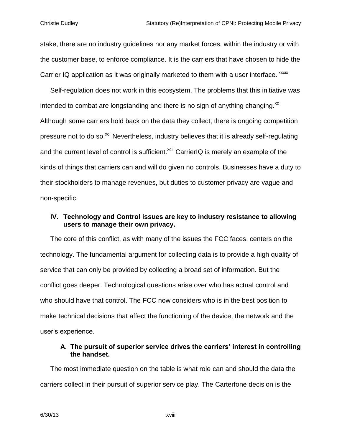stake, there are no industry guidelines nor any market forces, within the industry or with the customer base, to enforce compliance. It is the carriers that have chosen to hide the Carrier IQ application as it was originally marketed to them with a user interface.  $\frac{ixx}{ix}$ 

Self-regulation does not work in this ecosystem. The problems that this initiative was intended to combat are longstanding and there is no sign of anything changing. $^{x}$ Although some carriers hold back on the data they collect, there is ongoing competition pressure not to do so.<sup>xci</sup> Nevertheless, industry believes that it is already self-regulating and the current level of control is sufficient.<sup>xcii</sup> CarrierIQ is merely an example of the kinds of things that carriers can and will do given no controls. Businesses have a duty to their stockholders to manage revenues, but duties to customer privacy are vague and non-specific.

# **IV. Technology and Control issues are key to industry resistance to allowing users to manage their own privacy.**

The core of this conflict, as with many of the issues the FCC faces, centers on the technology. The fundamental argument for collecting data is to provide a high quality of service that can only be provided by collecting a broad set of information. But the conflict goes deeper. Technological questions arise over who has actual control and who should have that control. The FCC now considers who is in the best position to make technical decisions that affect the functioning of the device, the network and the user's experience.

# **A. The pursuit of superior service drives the carriers' interest in controlling the handset.**

The most immediate question on the table is what role can and should the data the carriers collect in their pursuit of superior service play. The Carterfone decision is the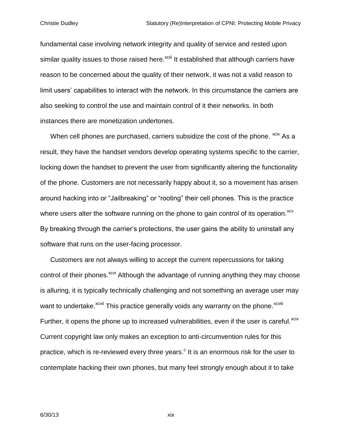fundamental case involving network integrity and quality of service and rested upon similar quality issues to those raised here.<sup>xciii</sup> It established that although carriers have reason to be concerned about the quality of their network, it was not a valid reason to limit users' capabilities to interact with the network. In this circumstance the carriers are also seeking to control the use and maintain control of it their networks. In both instances there are monetization undertones.

When cell phones are purchased, carriers subsidize the cost of the phone.  $\frac{\text{xciv}}{\text{As a}}$ result, they have the handset vendors develop operating systems specific to the carrier, locking down the handset to prevent the user from significantly altering the functionality of the phone. Customers are not necessarily happy about it, so a movement has arisen around hacking into or "Jailbreaking" or "rooting" their cell phones. This is the practice where users alter the software running on the phone to gain control of its operation. $x_{cv}$ By breaking through the carrier's protections, the user gains the ability to uninstall any software that runs on the user-facing processor.

Customers are not always willing to accept the current repercussions for taking control of their phones.<sup>xcvi</sup> Although the advantage of running anything they may choose is alluring, it is typically technically challenging and not something an average user may want to undertake.<sup>xcvii</sup> This practice generally voids any warranty on the phone.<sup>xcviii</sup> Further, it opens the phone up to increased vulnerabilities, even if the user is careful.<sup>xcix</sup> Current copyright law only makes an exception to anti-circumvention rules for this practice, which is re-reviewed every three years.<sup>c</sup> It is an enormous risk for the user to contemplate hacking their own phones, but many feel strongly enough about it to take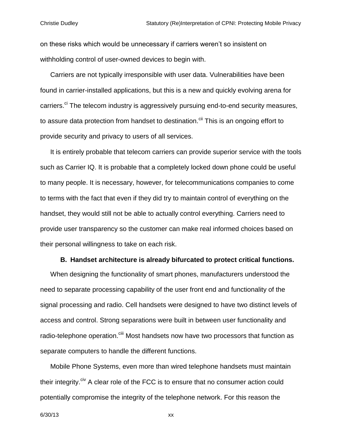on these risks which would be unnecessary if carriers weren't so insistent on withholding control of user-owned devices to begin with.

Carriers are not typically irresponsible with user data. Vulnerabilities have been found in carrier-installed applications, but this is a new and quickly evolving arena for carriers.<sup>ci</sup> The telecom industry is aggressively pursuing end-to-end security measures, to assure data protection from handset to destination.<sup>cii</sup> This is an ongoing effort to provide security and privacy to users of all services.

It is entirely probable that telecom carriers can provide superior service with the tools such as Carrier IQ. It is probable that a completely locked down phone could be useful to many people. It is necessary, however, for telecommunications companies to come to terms with the fact that even if they did try to maintain control of everything on the handset, they would still not be able to actually control everything. Carriers need to provide user transparency so the customer can make real informed choices based on their personal willingness to take on each risk.

#### **B. Handset architecture is already bifurcated to protect critical functions.**

When designing the functionality of smart phones, manufacturers understood the need to separate processing capability of the user front end and functionality of the signal processing and radio. Cell handsets were designed to have two distinct levels of access and control. Strong separations were built in between user functionality and radio-telephone operation.<sup>ciii</sup> Most handsets now have two processors that function as separate computers to handle the different functions.

Mobile Phone Systems, even more than wired telephone handsets must maintain their integrity.<sup>civ</sup> A clear role of the FCC is to ensure that no consumer action could potentially compromise the integrity of the telephone network. For this reason the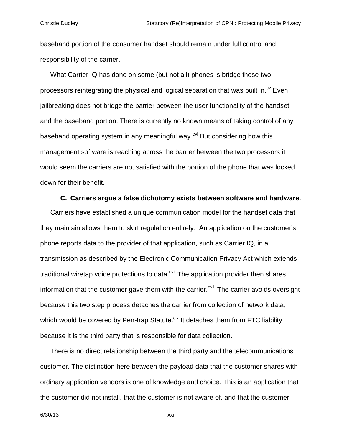baseband portion of the consumer handset should remain under full control and responsibility of the carrier.

What Carrier IQ has done on some (but not all) phones is bridge these two processors reintegrating the physical and logical separation that was built in. $\alpha$ <sup>c</sup> Even jailbreaking does not bridge the barrier between the user functionality of the handset and the baseband portion. There is currently no known means of taking control of any baseband operating system in any meaningful way.<sup>cvi</sup> But considering how this management software is reaching across the barrier between the two processors it would seem the carriers are not satisfied with the portion of the phone that was locked down for their benefit.

### **C. Carriers argue a false dichotomy exists between software and hardware.**

Carriers have established a unique communication model for the handset data that they maintain allows them to skirt regulation entirely. An application on the customer's phone reports data to the provider of that application, such as Carrier IQ, in a transmission as described by the Electronic Communication Privacy Act which extends traditional wiretap voice protections to data. $\frac{\text{c}^{V}}{\text{c}^{V}}$  The application provider then shares information that the customer gave them with the carrier.<sup>cviii</sup> The carrier avoids oversight because this two step process detaches the carrier from collection of network data, which would be covered by Pen-trap Statute.<sup>cix</sup> It detaches them from FTC liability because it is the third party that is responsible for data collection.

There is no direct relationship between the third party and the telecommunications customer. The distinction here between the payload data that the customer shares with ordinary application vendors is one of knowledge and choice. This is an application that the customer did not install, that the customer is not aware of, and that the customer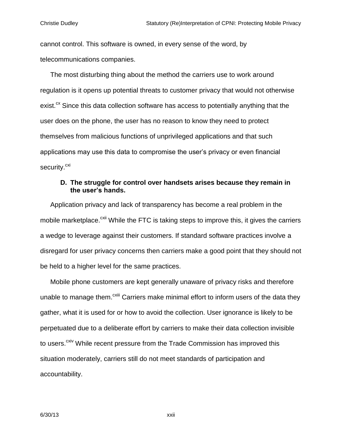cannot control. This software is owned, in every sense of the word, by telecommunications companies.

The most disturbing thing about the method the carriers use to work around regulation is it opens up potential threats to customer privacy that would not otherwise exist. $\alpha$  Since this data collection software has access to potentially anything that the user does on the phone, the user has no reason to know they need to protect themselves from malicious functions of unprivileged applications and that such applications may use this data to compromise the user's privacy or even financial security.<sup>cxi</sup>

# **D. The struggle for control over handsets arises because they remain in the user's hands.**

Application privacy and lack of transparency has become a real problem in the mobile marketplace.<sup>cxii</sup> While the FTC is taking steps to improve this, it gives the carriers a wedge to leverage against their customers. If standard software practices involve a disregard for user privacy concerns then carriers make a good point that they should not be held to a higher level for the same practices.

Mobile phone customers are kept generally unaware of privacy risks and therefore unable to manage them.<sup>cxiii</sup> Carriers make minimal effort to inform users of the data they gather, what it is used for or how to avoid the collection. User ignorance is likely to be perpetuated due to a deliberate effort by carriers to make their data collection invisible to users.<sup>cxiv</sup> While recent pressure from the Trade Commission has improved this situation moderately, carriers still do not meet standards of participation and accountability.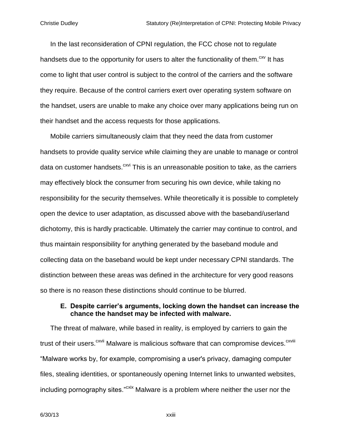In the last reconsideration of CPNI regulation, the FCC chose not to regulate handsets due to the opportunity for users to alter the functionality of them.<sup>cxv</sup> It has come to light that user control is subject to the control of the carriers and the software they require. Because of the control carriers exert over operating system software on the handset, users are unable to make any choice over many applications being run on their handset and the access requests for those applications.

Mobile carriers simultaneously claim that they need the data from customer handsets to provide quality service while claiming they are unable to manage or control data on customer handsets.<sup> $c$ xvi</sup> This is an unreasonable position to take, as the carriers may effectively block the consumer from securing his own device, while taking no responsibility for the security themselves. While theoretically it is possible to completely open the device to user adaptation, as discussed above with the baseband/userland dichotomy, this is hardly practicable. Ultimately the carrier may continue to control, and thus maintain responsibility for anything generated by the baseband module and collecting data on the baseband would be kept under necessary CPNI standards. The distinction between these areas was defined in the architecture for very good reasons so there is no reason these distinctions should continue to be blurred.

# **E. Despite carrier's arguments, locking down the handset can increase the chance the handset may be infected with malware.**

The threat of malware, while based in reality, is employed by carriers to gain the trust of their users.<sup>cxvii</sup> Malware is malicious software that can compromise devices.<sup>cxviii</sup> "Malware works by, for example, compromising a user's privacy, damaging computer files, stealing identities, or spontaneously opening Internet links to unwanted websites, including pornography sites." $\alpha$ <sup>ncxix</sup> Malware is a problem where neither the user nor the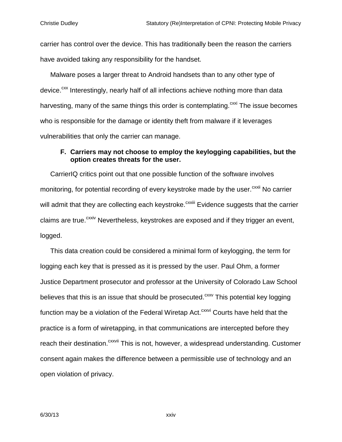carrier has control over the device. This has traditionally been the reason the carriers have avoided taking any responsibility for the handset.

Malware poses a larger threat to Android handsets than to any other type of device.<sup>cxx</sup> Interestingly, nearly half of all infections achieve nothing more than data harvesting, many of the same things this order is contemplating.<sup>cxxi</sup> The issue becomes who is responsible for the damage or identity theft from malware if it leverages vulnerabilities that only the carrier can manage.

# **F. Carriers may not choose to employ the keylogging capabilities, but the option creates threats for the user.**

CarrierIQ critics point out that one possible function of the software involves monitoring, for potential recording of every keystroke made by the user.<sup>cxxii</sup> No carrier will admit that they are collecting each keystroke.<sup>cxxiii</sup> Evidence suggests that the carrier claims are true.<sup>cxxiv</sup> Nevertheless, keystrokes are exposed and if they trigger an event, logged.

This data creation could be considered a minimal form of keylogging, the term for logging each key that is pressed as it is pressed by the user. Paul Ohm, a former Justice Department prosecutor and professor at the University of Colorado Law School believes that this is an issue that should be prosecuted.<sup>cxxv</sup> This potential key logging function may be a violation of the Federal Wiretap Act.<sup>cxxvi</sup> Courts have held that the practice is a form of wiretapping, in that communications are intercepted before they reach their destination.<sup>cxxvii</sup> This is not, however, a widespread understanding. Customer consent again makes the difference between a permissible use of technology and an open violation of privacy.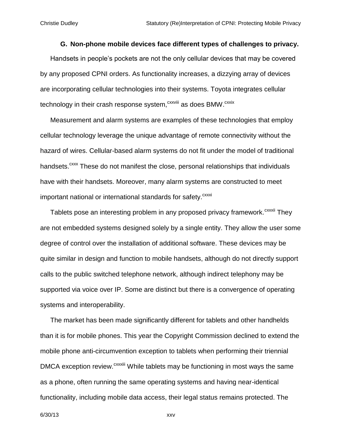# **G. Non-phone mobile devices face different types of challenges to privacy.**

Handsets in people's pockets are not the only cellular devices that may be covered by any proposed CPNI orders. As functionality increases, a dizzying array of devices are incorporating cellular technologies into their systems. Toyota integrates cellular technology in their crash response system,<sup>cxxviii</sup> as does BMW.<sup>cxxix</sup>

Measurement and alarm systems are examples of these technologies that employ cellular technology leverage the unique advantage of remote connectivity without the hazard of wires. Cellular-based alarm systems do not fit under the model of traditional handsets.<sup>cxxx</sup> These do not manifest the close, personal relationships that individuals have with their handsets. Moreover, many alarm systems are constructed to meet important national or international standards for safety.<sup>cxxxi</sup>

Tablets pose an interesting problem in any proposed privacy framework.<sup>cxxxii</sup> They are not embedded systems designed solely by a single entity. They allow the user some degree of control over the installation of additional software. These devices may be quite similar in design and function to mobile handsets, although do not directly support calls to the public switched telephone network, although indirect telephony may be supported via voice over IP. Some are distinct but there is a convergence of operating systems and interoperability.

The market has been made significantly different for tablets and other handhelds than it is for mobile phones. This year the Copyright Commission declined to extend the mobile phone anti-circumvention exception to tablets when performing their triennial DMCA exception review.<sup>cxxxiii</sup> While tablets may be functioning in most ways the same as a phone, often running the same operating systems and having near-identical functionality, including mobile data access, their legal status remains protected. The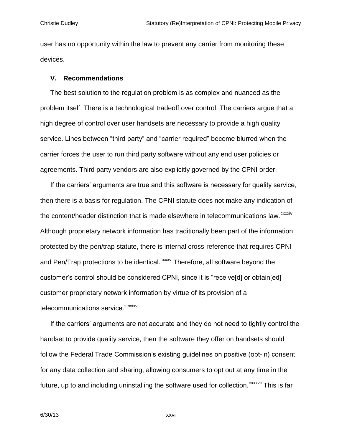user has no opportunity within the law to prevent any carrier from monitoring these devices.

#### **V. Recommendations**

The best solution to the regulation problem is as complex and nuanced as the problem itself. There is a technological tradeoff over control. The carriers argue that a high degree of control over user handsets are necessary to provide a high quality service. Lines between "third party" and "carrier required" become blurred when the carrier forces the user to run third party software without any end user policies or agreements. Third party vendors are also explicitly governed by the CPNI order.

If the carriers' arguments are true and this software is necessary for quality service, then there is a basis for regulation. The CPNI statute does not make any indication of the content/header distinction that is made elsewhere in telecommunications law.<sup>cxxxiv</sup> Although proprietary network information has traditionally been part of the information protected by the pen/trap statute, there is internal cross-reference that requires CPNI and Pen/Trap protections to be identical.<sup>cxxxv</sup> Therefore, all software beyond the customer's control should be considered CPNI, since it is "receive[d] or obtain[ed] customer proprietary network information by virtue of its provision of a telecommunications service."<sup>cxxxvi</sup>

If the carriers' arguments are not accurate and they do not need to tightly control the handset to provide quality service, then the software they offer on handsets should follow the Federal Trade Commission's existing guidelines on positive (opt-in) consent for any data collection and sharing, allowing consumers to opt out at any time in the future, up to and including uninstalling the software used for collection.<sup>CXXXVII</sup> This is far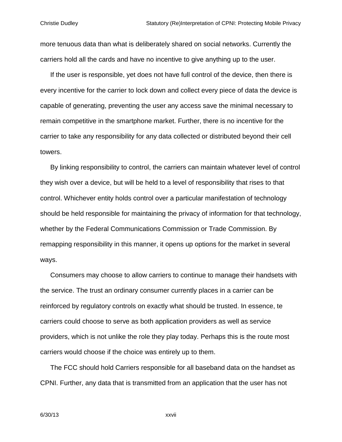more tenuous data than what is deliberately shared on social networks. Currently the carriers hold all the cards and have no incentive to give anything up to the user.

If the user is responsible, yet does not have full control of the device, then there is every incentive for the carrier to lock down and collect every piece of data the device is capable of generating, preventing the user any access save the minimal necessary to remain competitive in the smartphone market. Further, there is no incentive for the carrier to take any responsibility for any data collected or distributed beyond their cell towers.

By linking responsibility to control, the carriers can maintain whatever level of control they wish over a device, but will be held to a level of responsibility that rises to that control. Whichever entity holds control over a particular manifestation of technology should be held responsible for maintaining the privacy of information for that technology, whether by the Federal Communications Commission or Trade Commission. By remapping responsibility in this manner, it opens up options for the market in several ways.

Consumers may choose to allow carriers to continue to manage their handsets with the service. The trust an ordinary consumer currently places in a carrier can be reinforced by regulatory controls on exactly what should be trusted. In essence, te carriers could choose to serve as both application providers as well as service providers, which is not unlike the role they play today. Perhaps this is the route most carriers would choose if the choice was entirely up to them.

The FCC should hold Carriers responsible for all baseband data on the handset as CPNI. Further, any data that is transmitted from an application that the user has not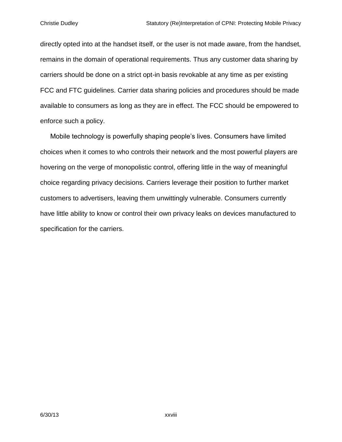directly opted into at the handset itself, or the user is not made aware, from the handset, remains in the domain of operational requirements. Thus any customer data sharing by carriers should be done on a strict opt-in basis revokable at any time as per existing FCC and FTC guidelines. Carrier data sharing policies and procedures should be made available to consumers as long as they are in effect. The FCC should be empowered to enforce such a policy.

Mobile technology is powerfully shaping people's lives. Consumers have limited choices when it comes to who controls their network and the most powerful players are hovering on the verge of monopolistic control, offering little in the way of meaningful choice regarding privacy decisions. Carriers leverage their position to further market customers to advertisers, leaving them unwittingly vulnerable. Consumers currently have little ability to know or control their own privacy leaks on devices manufactured to specification for the carriers.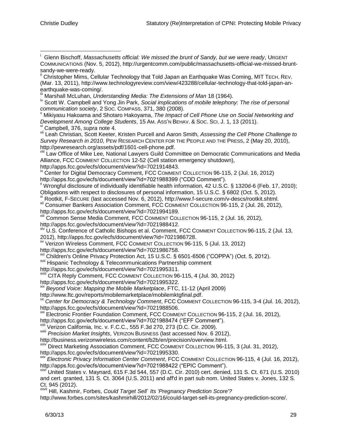http://apps.fcc.gov/ecfs/document/view?id=7021914843.

IX Center for Digital Democracy Comment, FCC COMMENT COLLECTION 96-115, 2 (Jul. 16, 2012) http://apps.fcc.gov/ecfs/document/view?id=7021988399 ("CDD Comment").

<sup>x</sup> Wrongful disclosure of individually identifiable health information, 42 U.S.C. § 1320d-6 (Feb. 17, 2010); Obligations with respect to disclosures of personal information, 15 U.S.C. § 6802 (Oct. 5, 2012).

xi Rootkit, F-SECURE (last accessed Nov. 6, 2012), http://www.f-secure.com/v-descs/rootkit.shtml.

xii Consumer Bankers Association Comment, FCC COMMENT COLLECTION 96-115, 2 (Jul. 26, 2012), http://apps.fcc.gov/ecfs/document/view?id=7021994189.

xiii Common Sense Media Comment, FCC COMMENT COLLECTION 96-115, 2 (Jul. 16, 2012), http://apps.fcc.gov/ecfs/document/view?id=7021988412.

xiv U.S. Conference of Catholic Bishops et al. Comment, FCC COMMENT COLLECTION 96-115, 2 (Jul. 13, 2012), http://apps.fcc.gov/ecfs/document/view?id=7021986728.

xv Verizon Wireless Comment, FCC COMMENT COLLECTION 96-115, 5 (Jul. 13, 2012)

- http://apps.fcc.gov/ecfs/document/view?id=7021986758.
- <sup>xvi</sup> Children's Online Privacy Protection Act, 15 U.S.C. § 6501-6506 ("COPPA") (Oct. 5, 2012).
- xvii Hispanic Technology & Telecommunications Partnership comment
- http://apps.fcc.gov/ecfs/document/view?id=7021995311.
- xviii CITA Reply Comment, FCC COMMENT COLLECTION 96-115, 4 (Jul. 30, 2012)
- http://apps.fcc.gov/ecfs/document/view?id=7021995322.
- xix *Beyond Voice: Mapping the Mobile Marketplace*, FTC, 11-12 (April 2009)
- http://www.ftc.gov/reports/mobilemarketplace/mobilemktgfinal.pdf.

xx *Center for Democracy & Technology Comment*, FCC COMMENT COLLECTION 96-115, 3-4 (Jul. 16, 2012), http://apps.fcc.gov/ecfs/document/view?id=7021988506.

<sup>XXI</sup> Electronic Frontier Foundation Comment, FCC COMMENT COLLECTION 96-115, 2 (Jul. 16, 2012),

http://apps.fcc.gov/ecfs/document/view?id=7021988474 ("EFF Comment").

xxiii *Precision Market Insights*, VERIZON BUSINESS (last accessed Nov. 6 2012),

http://business.verizonwireless.com/content/b2b/en/precision/overview.html.

xxiv Direct Marketing Association Comment, FCC COMMENT COLLECTION 96-115, 3 (Jul. 31, 2012),

[http://apps.fcc.gov/ecfs/document/view?id=7021995330.](http://apps.fcc.gov/ecfs/document/view?id=7021995330)

xxv *Electronic Privacy Information Center Comment*, FCC COMMENT COLLECTION 96-115, 4 (Jul. 16, 2012), http://apps.fcc.gov/ecfs/document/view?id=7021988422 ("EPIC Comment").

xxvii Hill, Kashmir, Forbes, *Could Target Sell` Its 'Pregnancy Prediction Score'?*

http://www.forbes.com/sites/kashmirhill/2012/02/16/could-target-sell-its-pregnancy-prediction-score/.

i Glenn Bischoff, *Massachusetts official: We missed the brunt of Sandy, but we were ready*, URGENT COMMUNICATIONS (Nov. 5, 2012), http://urgentcomm.com/public/massachusetts-official-we-missed-bruntsandy-we-were-ready.

Christopher Mims, Cellular Technology that Told Japan an Earthquake Was Coming, MIT TECH. REV. (Mar. 13, 2011), http://www.technologyreview.com/view/423288/cellular-technology-that-told-japan-anearthquake-was-coming/.

Marshall McLuhan, *Understanding Media: The Extensions of Man* 18 (1964).

<sup>&</sup>lt;sup>iv</sup> Scott W. Campbell and Yong Jin Park, Social implications of mobile telephony: The rise of personal *communication society*, 2 SOC. COMPASS, 371, 380 (2008).

<sup>v</sup> Mikiyasu Hakoama and Shotaro Hakoyama, *The Impact of Cell Phone Use on Social Networking and Development Among College Students*, 15 AM. ASS'N BEHAV. & SOC. SCI. J. 1, 13 (2011). vi Campbell, 376, *supra* note 4.

vii Leah Christian, Scott Keeter, Kristen Purcell and Aaron Smith, *Assessing the Cell Phone Challenge to Survey Research in 2010*, PEW RESEARCH CENTER FOR THE PEOPLE AND THE PRESS, 2 (May 20, 2010), http://pewresearch.org/assets/pdf/1601-cell-phone.pdf.

Law Office of Mike Lee, National Lawyers Guild Committee on Democratic Communications and Media Alliance, FCC COMMENT COLLECTION 12-52 (Cell station emergency shutdown),

<sup>.&</sup>lt;br>Verizon California, Inc. v. F.C.C., 555 F.3d 270, 273 (D.C. Cir. 2009).

xxvi United States v. Maynard, 615 F.3d 544, 557 (D.C. Cir. 2010) cert. denied, 131 S. Ct. 671 (U.S. 2010) and cert. granted, 131 S. Ct. 3064 (U.S. 2011) and aff'd in part sub nom. United States v. Jones, 132 S. Ct. 945 (2012).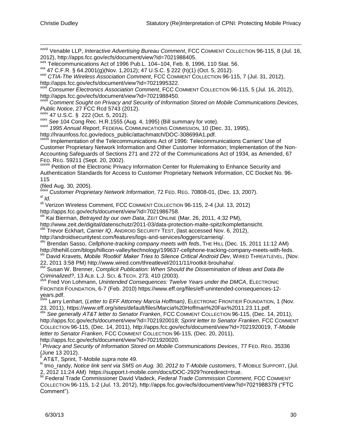xxviii Venable LLP, *Interactive Advertising Bureau Comment*, FCC COMMENT COLLECTION 96-115, 8 (Jul. 16, 2012), http://apps.fcc.gov/ecfs/document/view?id=7021988405.

xxix Telecommunications Act of 1996 Pub.L. 104-104, Feb. 8, 1996, 110 Stat. 56.

xxx 47 C.F.R. § 64.2001(g)(Nov. 1,2012); 47 U.S.C. § 222 (h)(1) (Oct. 5, 2012).

xxxii *Consumer Electronics Association Comment*, FCC COMMENT COLLECTION 96-115, 5 (Jul. 16, 2012), http://apps.fcc.gov/ecfs/document/view?id=7021988450.

xxxiii *Comment Sought on Privacy and Security of Information Stored on Mobile Communications Devices, Public Notice*, 27 FCC Rcd 5743 (2012).

xxxiv 47 U.S.C. § 222 (Oct. 5, 2012).

xxxv *See* 104 Cong Rec. H.R.1555 (Aug. 4, 1995) (Bill summary for vote).

xxxvi *1995 Annual Report*, FEDERAL COMMUNICATIONS COMMISSION, 10 (Dec. 31, 1995),

http://hraunfoss.fcc.gov/edocs\_public/attachmatch/DOC-308699A1.pdf.

xxxvii Implementation of the Telecommunications Act of 1996: Telecommunications Carriers' Use of Customer Proprietary Network Information and Other Customer Information; Implementation of the Non-Accounting Safeguards of Sections 271 and 272 of the Communications Act of 1934, as Amended, 67 FED. REG. 59211 (Sept. 20, 2002).

**xxxviii** Petition of the Electronic Privacy Information Center for Rulemaking to Enhance Security and Authentication Standards for Access to Customer Proprietary Network Information, CC Docket No. 96- 115

(filed Aug. 30, 2005).

xxxix *Customer Proprietary Network Information*, 72 FED. REG. 70808-01, (Dec. 13, 2007). xl *Id.*

xli Verizon Wireless Comment, FCC COMMENT COLLECTION 96-115, 2-4 (Jul. 13, 2012) http://apps.fcc.gov/ecfs/document/view?id=7021986758.

xlii Kai Bierman, *Betrayed by our own Data*, ZEIT ONLINE (Mar. 26, 2011, 4:32 PM),

http://www.zeit.de/digital/datenschutz/2011-03/data-protection-malte-spitz/komplettansicht.

Trevor Eckhart, *Carrier IQ*, ANDROID SECURITY TEST, (last accessed Nov. 6, 2012),

http://androidsecuritytest.com/features/logs-and-services/loggers/carrierig/.

xliv Brendan Sasso, *Cellphone-tracking company meets with feds*, THE HILL (Dec. 15, 2011 11:12 AM) [http://thehill.com/blogs/hillicon-valley/technology/199637-cellphone-tracking-company-meets-with-feds.](http://thehill.com/blogs/hillicon-valley/technology/199637-cellphone-tracking-company-meets-with-feds)

xlv David Kravets, *Mobile 'Rootkit' Maker Tries to Silence Critical Android Dev*, WIRED THREATLEVEL, (Nov. 22, 2011 3:58 PM) [http://www.wired.com/threatlevel/2011/11/rootkit-brouhaha/.](http://www.wired.com/threatlevel/2011/11/rootkit-brouhaha/)

xlvi Susan W. Brenner, *Complicit Publication: When Should the Dissemination of Ideas and Data Be Criminalized?*, 13 ALB. L.J. SCI. & TECH. 273, 410 (2003).

xlvii Fred Von Lohmann, *Unintended Consequences: Twelve Years under the DMCA*, ELECTRONIC FRONTIER FOUNDATION, 6-7 (Feb. 2010) https://www.eff.org/files/eff-unintended-consequences-12 years.pdf.

xlviii Larry Lenhart, (*Letter to EFF Attorney Marcia Hoffman)*, ELECTRONIC FRONTIER FOUNDATION, 1 (Nov. 23, 2011), https://www.eff.org/sites/default/files/Marcia%20Hoffman%20Fax%2011.23.11.pdf.

xlix *See generally AT&T letter to Senator Franken*, FCC COMMENT COLLECTION 96-115, (Dec. 14, 2011), http://apps.fcc.gov/ecfs/document/view?id=7021920018; *Sprint letter to Senator Franken*, FCC COMMENT COLLECTION 96-115, (Dec. 14, 2011), http://apps.fcc.gov/ecfs/document/view?id=7021920019, *T-Mobile letter to Senator Franken*, FCC COMMENT COLLECTION 96-115, (Dec. 20, 2011),

http://apps.fcc.gov/ecfs/document/view?id=7021920020.

l *Privacy and Security of Information Stored on Mobile Communications Devices*, 77 FED. REG. 35336 (June 13 2012).

li AT&T, Sprint, T-Mobile *supra* note 49.

tmo\_randy, *Notice link sent via SMS on Aug. 30, 2012 to T-Mobile customers*, T-MOBILE SUPPORT, (Jul. 2, 2012 11:24 AM) https://support.t-mobile.com/docs/DOC-2929?noredirect=true.

liii Federal Trade Commissioner David Vladeck, *Federal Trade Commission Comment*, FCC COMMENT COLLECTION 96-115, 1-2 (Jul. 13, 2012), http://apps.fcc.gov/ecfs/document/view?id=7021988379 ("FTC Comment").

xxxi *CTIA-The Wireless Association Comment*, FCC COMMENT COLLECTION 96-115, 7 (Jul. 31, 2012), http://apps.fcc.gov/ecfs/document/view?id=7021995322.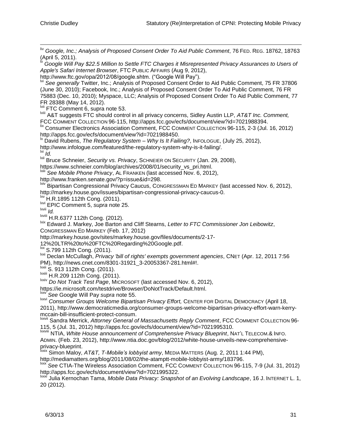Google, Inc.; Analysis of Proposed Consent Order To Aid Public Comment, 76 FED. REG. 18762, 18763 (April 5, 2011).

<sup>iv</sup> Google Will Pay \$22.5 Million to Settle FTC Charges it Misrepresented Privacy Assurances to Users of *Apple's Safari Internet Browser*, FTC PUBLIC AFFAIRS (Aug 9, 2012),

http://www.ftc.gov/opa/2012/08/google.shtm. ("Google Will Pay").

lvi *See generally* Twitter, Inc.; Analysis of Proposed Consent Order to Aid Public Comment, 75 FR 37806 (June 30, 2010); Facebook, Inc.; Analysis of Proposed Consent Order To Aid Public Comment, 76 FR 75883 (Dec. 10, 2010); Myspace, LLC; Analysis of Proposed Consent Order To Aid Public Comment, 77 FR 28388 (May 14, 2012).

lvii FTC Comment 6, supra note 53.

lviii A&T suggests FTC should control in all privacy concerns, Sidley Austin LLP, *AT&T Inc. Comment,* FCC COMMENT COLLECTION 96-115, http://apps.fcc.gov/ecfs/document/view?id=7021988394.

lix Consumer Electronics Association Comment, FCC COMMENT COLLECTION 96-115, 2-3 (Jul. 16, 2012) http://apps.fcc.gov/ecfs/document/view?id=7021988450.

lx David Rubens, *The Regulatory System – Why Is It Failing?*, INFOLOGUE, (July 25, 2012),

http://www.infologue.com/featured/the-regulatory-system-why-is-it-failing/.

lxi *Id.*

lxii Bruce Schneier, *Security vs. Privacy*, SCHNEIER ON SECURITY (Jan. 29, 2008),

https://www.schneier.com/blog/archives/2008/01/security\_vs\_pri.html.

lxiii *See Mobile Phone Privacy*, AL FRANKEN (last accessed Nov. 6, 2012),

http://www.franken.senate.gov/?p=issue&id=298.

Ixiv Bipartisan Congressional Privacy Caucus, CONGRESSMAN ED MARKEY (last accessed Nov. 6, 2012), http://markey.house.gov/issues/bipartisan-congressional-privacy-caucus-0.

lxv H.R.1895 112th Cong. (2011).

lxvi EPIC Comment 5, *supra* note 25.

lxvii *Id.*

lxviii H.R.6377 112th Cong. (2012).

lxix Edward J. Markey, Joe Barton and Cliff Stearns, *Letter to FTC Commissioner Jon Leibowitz*, CONGRESSMAN ED MARKEY (Feb. 17, 2012)

http://markey.house.gov/sites/markey.house.gov/files/documents/2-17-

12%20LTR%20to%20FTC%20Regarding%20Google.pdf.

lxx S.799 112th Cong. (2011).

lxxi Declan McCullagh, *Privacy 'bill of rights' exempts government agencies*, CNET (Apr. 12, 2011 7:56 PM), http://news.cnet.com/8301-31921\_3-20053367-281.html#!.

lxxii S. 913 112th Cong. (2011).

lxxiii H.R.209 112th Cong. (2011).

lxxiv *Do Not Track Test Page*, MICROSOFT (last accessed Nov. 6, 2012),

https://ie.microsoft.com/testdrive/Browser/DoNotTrack/Default.html.

See Google Will Pay *supra* note 55.

**Ixxvi** Consumer Groups Welcome Bipartisan Privacy Effort, CENTER FOR DIGITAL DEMOCRACY (April 18, 2011), http://www.democraticmedia.org/consumer-groups-welcome-bipartisan-privacy-effort-warn-kerrymccain-bill-insufficient-protect-consum.

lxxvii Sandra Merrick, *Attorney General of Massachusetts Reply Comment*, FCC COMMENT COLLECTION 96- 115, 5 (Jul. 31, 2012) http://apps.fcc.gov/ecfs/document/view?id=7021995310.

lxxviii NTIA, *White House announcement of Comprehensive Privacy Blueprint*, NAT'L TELECOM.& INFO. ADMIN. (Feb. 23, 2012), [http://www.ntia.doc.gov/blog/2012/white-house-unveils-new-comprehensive](http://www.ntia.doc.gov/blog/2012/white-house-unveils-new-comprehensive-privacy-blueprint)[privacy-blueprint.](http://www.ntia.doc.gov/blog/2012/white-house-unveils-new-comprehensive-privacy-blueprint)

lxxix Simon Maloy, *AT&T, T-Mobile's lobbyist army*, MEDIA MATTERS (Aug. 2, 2011 1:44 PM), http://mediamatters.org/blog/2011/08/02/the-atamptt-mobile-lobbyist-army/183796.

lxxx *See* CTIA-The Wireless Association Comment, FCC COMMENT COLLECTION 96-115, 7-9 (Jul. 31, 2012) http://apps.fcc.gov/ecfs/document/view?id=7021995322.

lxxxi Julia Kernochan Tama, *Mobile Data Privacy: Snapshot of an Evolving Landscape*, 16 J. INTERNET L. 1, 20 (2012).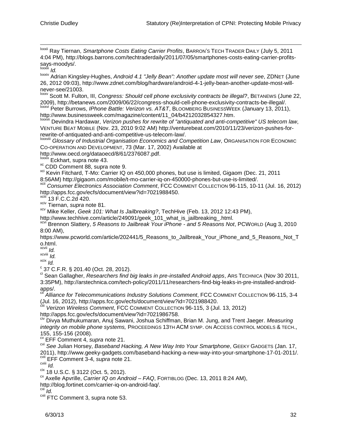Ixxxii Ray Tiernan, *Smartphone Costs Eating Carrier Profits*, BARRON'S TECH TRADER DAILY (July 5, 2011 4:04 PM), http://blogs.barrons.com/techtraderdaily/2011/07/05/smartphones-costs-eating-carrier-profitssays-moodys/.

lxxxiii *Id.*

lxxxiv Adrian Kingsley-Hughes, *Android 4.1 "Jelly Bean": Another update most will never see*, ZDNET (June 26, 2012 09:03), http://www.zdnet.com/blog/hardware/android-4-1-jelly-bean-another-update-most-willnever-see/21003.

lxxxv Scott M. Fulton, III, *Congress: Should cell phone exclusivity contracts be illegal?*, BETANEWS (June 22, 2009), http://betanews.com/2009/06/22/congress-should-cell-phone-exclusivity-contracts-be-illegal/.

lxxxvi Peter Burrows, *IPhone Battle: Verizon vs. AT&T*, BLOOMBERG BUSINESSWEEK (January 13, 2011), http://www.businessweek.com/magazine/content/11\_04/b4212032854327.htm.

lxxxvii Devindra Hardawar, *Verizon pushes for rewrite of "antiquated and anti-competitive" US telecom law*, VENTURE BEAT MOBILE (Nov. 23, 2010 9:02 AM) http://venturebeat.com/2010/11/23/verizon-pushes-forrewrite-of-antiquated-and-anti-competitive-us-telecom-law/.

lxxxviii *Glossary of Industrial Organisation Economics and Competition Law*, ORGANISATION FOR ECONOMIC CO-OPERATION AND DEVELOPMENT, 73 (Mar. 17, 2002) Available at

http://www.oecd.org/dataoecd/8/61/2376087.pdf.

lxxxix Eckhart, supra note 43.

xc CDD Comment 88, supra note 9.

<sup>xci</sup> Kevin Fitchard, T-Mo: Carrier IQ on 450,000 phones, but use is limited, Gigaom (Dec. 21, 2011 8:56AM) http://gigaom.com/mobile/t-mo-carrier-iq-on-450000-phones-but-use-is-limited/.

xcii *Consumer Electronics Association Comment*, FCC COMMENT COLLECTION 96-115, 10-11 (Jul. 16, 2012) http://apps.fcc.gov/ecfs/document/view?id=7021988450.

xciii 13 F.C.C.2d 420.

xciv Tiernan, *supra* note 81.

xcv Mike Keller, *Geek 101: What Is Jailbreaking?*, TechHive (Feb. 13, 2012 12:43 PM),

http://www.techhive.com/article/249091/geek\_101\_what\_is\_jailbreaking\_.html.

xcvi Brennon Slattery, *5 Reasons to Jailbreak Your iPhone - and 5 Reasons Not*, PCWORLD (Aug 3, 2010 8:00 AM),

https://www.pcworld.com/article/202441/5 Reasons\_to\_Jailbreak\_Your\_iPhone\_and\_5\_Reasons\_Not\_T o.html.

xcvii *Id.*

xcviii *Id.*

xcix *Id.*

 $\degree$  37 C.F.R. § 201.40 (Oct. 28, 2012).

ci Sean Gallagher, *Researchers find big leaks in pre-installed Android apps*, ARS TECHNICA (Nov 30 2011, 3:35PM), http://arstechnica.com/tech-policy/2011/11/researchers-find-big-leaks-in-pre-installed-androidapps/.

cii *Alliance for Telecommunications Industry Solutions Comment*, FCC COMMENT COLLECTION 96-115, 3-4 (Jul. 16, 2012), http://apps.fcc.gov/ecfs/document/view?id=7021988420.

ciii *Verizon Wireless Comment*, FCC COMMENT COLLECTION 96-115, 3 (Jul. 13, 2012)

http://apps.fcc.gov/ecfs/document/view?id=7021986758.

civ Divya Muthukumaran, Anuj Sawani, Joshua Schiffman, Brian M. Jung, and Trent Jaeger. *Measuring integrity on mobile phone systems,* PROCEEDINGS 13TH ACM SYMP. ON ACCESS CONTROL MODELS & TECH., 155, 155-156 (2008).

cv EFF Comment 4, *supra* note 21.

cvi *See* Julian Horsey, *Baseband Hacking, A New Way Into Your Smartphone*, GEEKY GADGETS (Jan. 17, 2011), http://www.geeky-gadgets.com/baseband-hacking-a-new-way-into-your-smartphone-17-01-2011/. cvii EFF Comment 3-4, *supra* note 21.

 $\frac{L}{c}$  *Id.* 

cix 18 U.S.C. § 3122 (Oct. 5, 2012).

cx Axelle Apvrille, *Carrier IQ on Android – FAQ*, FORTIBLOG (Dec. 13, 2011 8:24 AM), http://blog.fortinet.com/carrier-iq-on-android-faq/.

 $\overline{\mathsf{c}}$ <sup>cxi</sup> *Id.* 

cxii FTC Comment 3, supra note 53.